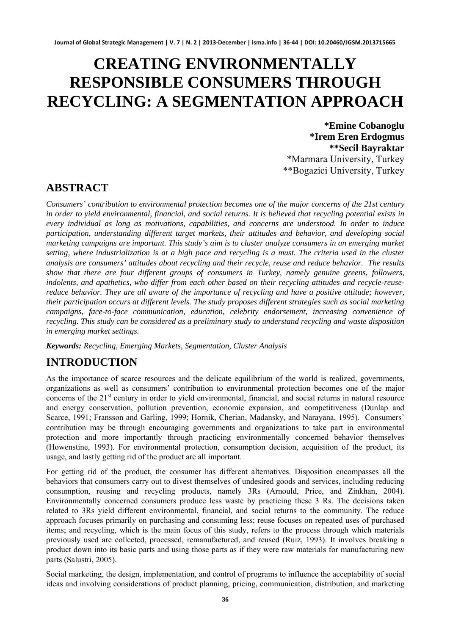# **CREATING ENVIRONMENTALLY RESPONSIBLE CONSUMERS THROUGH RECYCLING: A SEGMENTATION APPROACH**

**\*Emine Cobanoglu \*Irem Eren Erdogmus \*\*Secil Bayraktar**  \*Marmara University, Turkey \*\*Bogazici University, Turkey

#### **ABSTRACT**

*Consumers' contribution to environmental protection becomes one of the major concerns of the 21st century in order to yield environmental, financial, and social returns. It is believed that recycling potential exists in every individual as long as motivations, capabilities, and concerns are understood. In order to induce participation, understanding different target markets, their attitudes and behavior, and developing social marketing campaigns are important. This study's aim is to cluster analyze consumers in an emerging market setting, where industrialization is at a high pace and recycling is a must. The criteria used in the cluster analysis are consumers' attitudes about recycling and their recycle, reuse and reduce behavior. The results show that there are four different groups of consumers in Turkey, namely genuine greens, followers, indolents, and apathetics, who differ from each other based on their recycling attitudes and recycle-reusereduce behavior. They are all aware of the importance of recycling and have a positive attitude; however, their participation occurs at different levels. The study proposes different strategies such as social marketing campaigns, face-to-face communication, education, celebrity endorsement, increasing convenience of recycling. This study can be considered as a preliminary study to understand recycling and waste disposition in emerging market settings.* 

*Keywords: Recycling, Emerging Markets, Segmentation, Cluster Analysis*

# **INTRODUCTION**

As the importance of scarce resources and the delicate equilibrium of the world is realized, governments, organizations as well as consumers' contribution to environmental protection becomes one of the major concerns of the 21<sup>st</sup> century in order to yield environmental, financial, and social returns in natural resource and energy conservation, pollution prevention, economic expansion, and competitiveness (Dunlap and Scarce, 1991; Fransson and Garling, 1999; Hornik, Cherian, Madansky, and Narayana, 1995). Consumers' contribution may be through encouraging governments and organizations to take part in environmental protection and more importantly through practicing environmentally concerned behavior themselves (Howenstine, 1993). For environmental protection, consumption decision, acquisition of the product, its usage, and lastly getting rid of the product are all important.

For getting rid of the product, the consumer has different alternatives. Disposition encompasses all the behaviors that consumers carry out to divest themselves of undesired goods and services, including reducing consumption, reusing and recycling products, namely 3Rs (Arnould, Price, and Zinkhan, 2004). Environmentally concerned consumers produce less waste by practicing these 3 Rs. The decisions taken related to 3Rs yield different environmental, financial, and social returns to the community. The reduce approach focuses primarily on purchasing and consuming less; reuse focuses on repeated uses of purchased items; and recycling, which is the main focus of this study, refers to the process through which materials previously used are collected, processed, remanufactured, and reused (Ruiz, 1993). It involves breaking a product down into its basic parts and using those parts as if they were raw materials for manufacturing new parts (Salustri, 2005).

Social marketing, the design, implementation, and control of programs to influence the acceptability of social ideas and involving considerations of product planning, pricing, communication, distribution, and marketing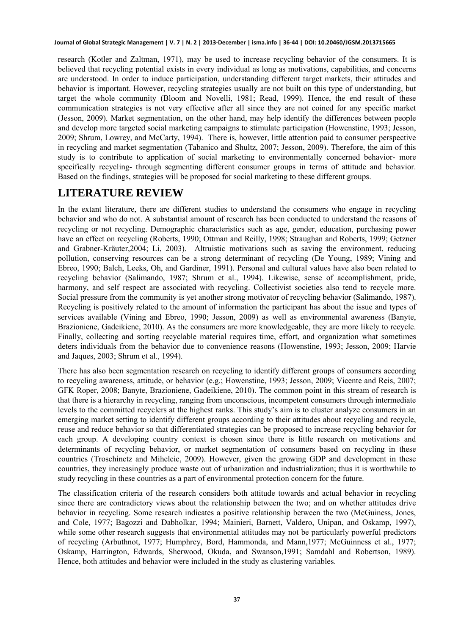research (Kotler and Zaltman, 1971), may be used to increase recycling behavior of the consumers. It is believed that recycling potential exists in every individual as long as motivations, capabilities, and concerns are understood. In order to induce participation, understanding different target markets, their attitudes and behavior is important. However, recycling strategies usually are not built on this type of understanding, but target the whole community (Bloom and Novelli, 1981; Read, 1999). Hence, the end result of these communication strategies is not very effective after all since they are not coined for any specific market (Jesson, 2009). Market segmentation, on the other hand, may help identify the differences between people and develop more targeted social marketing campaigns to stimulate participation (Howenstine, 1993; Jesson, 2009; Shrum, Lowrey, and McCarty, 1994). There is, however, little attention paid to consumer perspective in recycling and market segmentation (Tabanico and Shultz, 2007; Jesson, 2009). Therefore, the aim of this study is to contribute to application of social marketing to environmentally concerned behavior- more specifically recycling- through segmenting different consumer groups in terms of attitude and behavior. Based on the findings, strategies will be proposed for social marketing to these different groups.

### **LITERATURE REVIEW**

In the extant literature, there are different studies to understand the consumers who engage in recycling behavior and who do not. A substantial amount of research has been conducted to understand the reasons of recycling or not recycling. Demographic characteristics such as age, gender, education, purchasing power have an effect on recycling (Roberts, 1990; Ottman and Reilly, 1998; Straughan and Roberts, 1999; Getzner and Grabner-Kräuter,2004; Li, 2003). Altruistic motivations such as saving the environment, reducing pollution, conserving resources can be a strong determinant of recycling (De Young, 1989; Vining and Ebreo, 1990; Balch, Leeks, Oh, and Gardiner, 1991). Personal and cultural values have also been related to recycling behavior (Salimando, 1987; Shrum et al., 1994). Likewise, sense of accomplishment, pride, harmony, and self respect are associated with recycling. Collectivist societies also tend to recycle more. Social pressure from the community is yet another strong motivator of recycling behavior (Salimando, 1987). Recycling is positively related to the amount of information the participant has about the issue and types of services available (Vining and Ebreo, 1990; Jesson, 2009) as well as environmental awareness (Banyte, Brazioniene, Gadeikiene, 2010). As the consumers are more knowledgeable, they are more likely to recycle. Finally, collecting and sorting recyclable material requires time, effort, and organization what sometimes deters individuals from the behavior due to convenience reasons (Howenstine, 1993; Jesson, 2009; Harvie and Jaques, 2003; Shrum et al., 1994).

There has also been segmentation research on recycling to identify different groups of consumers according to recycling awareness, attitude, or behavior (e.g.; Howenstine, 1993; Jesson, 2009; Vicente and Reis, 2007; GFK Roper, 2008; Banyte, Brazioniene, Gadeikiene, 2010). The common point in this stream of research is that there is a hierarchy in recycling, ranging from unconscious, incompetent consumers through intermediate levels to the committed recyclers at the highest ranks. This study's aim is to cluster analyze consumers in an emerging market setting to identify different groups according to their attitudes about recycling and recycle, reuse and reduce behavior so that differentiated strategies can be proposed to increase recycling behavior for each group. A developing country context is chosen since there is little research on motivations and determinants of recycling behavior, or market segmentation of consumers based on recycling in these countries (Troschinetz and Mihelcic, 2009). However, given the growing GDP and development in these countries, they increasingly produce waste out of urbanization and industrialization; thus it is worthwhile to study recycling in these countries as a part of environmental protection concern for the future.

The classification criteria of the research considers both attitude towards and actual behavior in recycling since there are contradictory views about the relationship between the two; and on whether attitudes drive behavior in recycling. Some research indicates a positive relationship between the two (McGuiness, Jones, and Cole, 1977; Bagozzi and Dabholkar, 1994; Mainieri, Barnett, Valdero, Unipan, and Oskamp, 1997), while some other research suggests that environmental attitudes may not be particularly powerful predictors of recycling (Arbuthnot, 1977; Humphrey, Bord, Hammonda, and Mann,1977; McGuinness et al., 1977; Oskamp, Harrington, Edwards, Sherwood, Okuda, and Swanson,1991; Samdahl and Robertson, 1989). Hence, both attitudes and behavior were included in the study as clustering variables.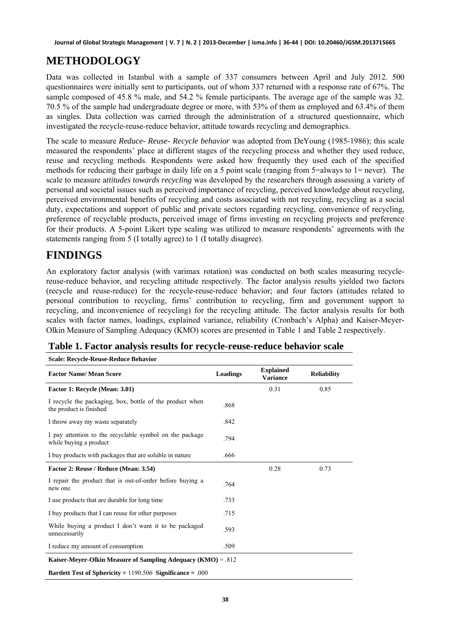### **METHODOLOGY**

Data was collected in Istanbul with a sample of 337 consumers between April and July 2012. 500 questionnaires were initially sent to participants, out of whom 337 returned with a response rate of 67%. The sample composed of 45.8 % male, and 54.2 % female participants. The average age of the sample was 32. 70.5 % of the sample had undergraduate degree or more, with 53% of them as employed and 63.4% of them as singles. Data collection was carried through the administration of a structured questionnaire, which investigated the recycle-reuse-reduce behavior, attitude towards recycling and demographics.

The scale to measure *Reduce- Reuse- Recycle behavior* was adopted from DeYoung (1985-1986); this scale measured the respondents' place at different stages of the recycling process and whether they used reduce, reuse and recycling methods. Respondents were asked how frequently they used each of the specified methods for reducing their garbage in daily life on a 5 point scale (ranging from 5=always to 1= never). The scale to measure a*ttitudes towards recycling* was developed by the researchers through assessing a variety of personal and societal issues such as perceived importance of recycling, perceived knowledge about recycling, perceived environmental benefits of recycling and costs associated with not recycling, recycling as a social duty, expectations and support of public and private sectors regarding recycling, convenience of recycling, preference of recyclable products, perceived image of firms investing on recycling projects and preference for their products. A 5-point Likert type scaling was utilized to measure respondents' agreements with the statements ranging from 5 (I totally agree) to 1 (I totally disagree).

# **FINDINGS**

**Scale: Recycle-Reuse-Reduce Behavior** 

An exploratory factor analysis (with varimax rotation) was conducted on both scales measuring recyclereuse-reduce behavior, and recycling attitude respectively. The factor analysis results yielded two factors (recycle and reuse-reduce) for the recycle-reuse-reduce behavior; and four factors (attitudes related to personal contribution to recycling, firms' contribution to recycling, firm and government support to recycling, and inconvenience of recycling) for the recycling attitude. The factor analysis results for both scales with factor names, loadings, explained variance, reliability (Cronbach's Alpha) and Kaiser-Meyer-Olkin Measure of Sampling Adequacy (KMO) scores are presented in Table 1 and Table 2 respectively.

| <b>Factor Name/ Mean Score</b>                                                      | Loadings | <b>Explained</b><br><b>Variance</b> | <b>Reliability</b> |  |
|-------------------------------------------------------------------------------------|----------|-------------------------------------|--------------------|--|
| Factor 1: Recycle (Mean: 3.01)                                                      |          | 0.31                                | 0.85               |  |
| I recycle the packaging, box, bottle of the product when<br>the product is finished | .868     |                                     |                    |  |
| I throw away my waste separately                                                    | .842     |                                     |                    |  |
| I pay attention to the recyclable symbol on the package<br>while buying a product   | .794     |                                     |                    |  |
| I buy products with packages that are soluble in nature                             | .666     |                                     |                    |  |
| Factor 2: Reuse / Reduce (Mean: 3.54)                                               |          | 0.28                                | 0.73               |  |
| I repair the product that is out-of-order before buying a<br>new one                | .764     |                                     |                    |  |
| I use products that are durable for long time                                       | .733     |                                     |                    |  |
| I buy products that I can reuse for other purposes                                  | .715     |                                     |                    |  |
| While buying a product I don't want it to be packaged<br>unnecessarily              | .593     |                                     |                    |  |
| I reduce my amount of consumption                                                   | .509     |                                     |                    |  |
| Kaiser-Meyer-Olkin Measure of Sampling Adequacy (KMO) = $.812$                      |          |                                     |                    |  |
| Bartlett Test of Sphericity = $1190.506$ Significance = .000                        |          |                                     |                    |  |

**Table 1. Factor analysis results for recycle-reuse-reduce behavior scale**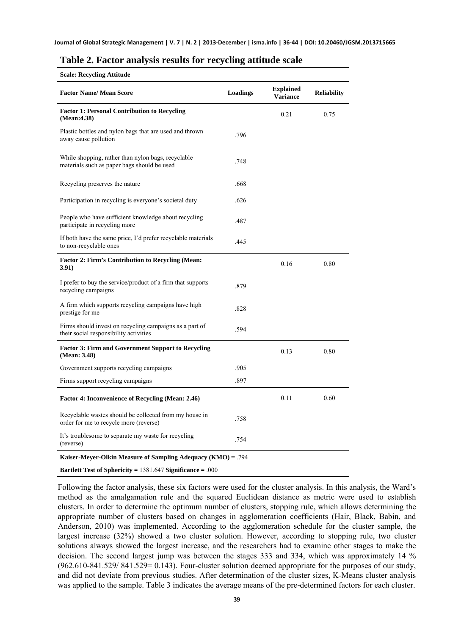|  |  |  | Table 2. Factor analysis results for recycling attitude scale |  |
|--|--|--|---------------------------------------------------------------|--|
|  |  |  |                                                               |  |

| <b>Scale: Recycling Attitude</b> |  |
|----------------------------------|--|

| <b>Factor Name/ Mean Score</b>                                                                    | Loadings | <b>Explained</b><br><b>Variance</b> | <b>Reliability</b> |
|---------------------------------------------------------------------------------------------------|----------|-------------------------------------|--------------------|
| <b>Factor 1: Personal Contribution to Recycling</b><br>(Mean: 4.38)                               |          | 0.21                                | 0.75               |
| Plastic bottles and nylon bags that are used and thrown<br>away cause pollution                   | .796     |                                     |                    |
| While shopping, rather than nylon bags, recyclable<br>materials such as paper bags should be used | .748     |                                     |                    |
| Recycling preserves the nature                                                                    | .668     |                                     |                    |
| Participation in recycling is everyone's societal duty                                            | .626     |                                     |                    |
| People who have sufficient knowledge about recycling<br>participate in recycling more             | .487     |                                     |                    |
| If both have the same price, I'd prefer recyclable materials<br>to non-recyclable ones            | .445     |                                     |                    |
| <b>Factor 2: Firm's Contribution to Recycling (Mean:</b><br>3.91)                                 |          | 0.16                                | 0.80               |
| I prefer to buy the service/product of a firm that supports<br>recycling campaigns                | .879     |                                     |                    |
| A firm which supports recycling campaigns have high<br>prestige for me                            | .828     |                                     |                    |
| Firms should invest on recycling campaigns as a part of<br>their social responsibility activities | .594     |                                     |                    |
| <b>Factor 3: Firm and Government Support to Recycling</b><br>(Mean: 3.48)                         |          | 0.13                                | 0.80               |
| Government supports recycling campaigns                                                           | .905     |                                     |                    |
| Firms support recycling campaigns                                                                 | .897     |                                     |                    |
| <b>Factor 4: Inconvenience of Recycling (Mean: 2.46)</b>                                          |          | 0.11                                | 0.60               |
| Recyclable wastes should be collected from my house in<br>order for me to recycle more (reverse)  | .758     |                                     |                    |
| It's troublesome to separate my waste for recycling<br>(reverse)                                  | .754     |                                     |                    |
| <b>Kaiser-Meyer-Olkin Measure of Sampling Adequacy (KMO)</b> = .794                               |          |                                     |                    |

**Bartlett Test of Sphericity =** 1381.647 **Significance =** .000

Following the factor analysis, these six factors were used for the cluster analysis. In this analysis, the Ward's method as the amalgamation rule and the squared Euclidean distance as metric were used to establish clusters. In order to determine the optimum number of clusters, stopping rule, which allows determining the appropriate number of clusters based on changes in agglomeration coefficients (Hair, Black, Babin, and Anderson, 2010) was implemented. According to the agglomeration schedule for the cluster sample, the largest increase (32%) showed a two cluster solution. However, according to stopping rule, two cluster solutions always showed the largest increase, and the researchers had to examine other stages to make the decision. The second largest jump was between the stages 333 and 334, which was approximately 14 % (962.610-841.529/ 841.529= 0.143). Four-cluster solution deemed appropriate for the purposes of our study, and did not deviate from previous studies. After determination of the cluster sizes, K-Means cluster analysis was applied to the sample. Table 3 indicates the average means of the pre-determined factors for each cluster.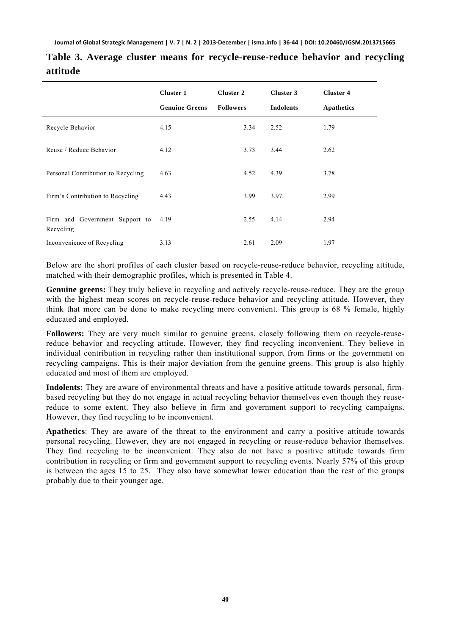|                                             | <b>Cluster 1</b><br><b>Genuine Greens</b> | <b>Cluster 2</b><br><b>Followers</b> | Cluster 3<br><b>Indolents</b> | <b>Cluster 4</b><br>Apathetics |
|---------------------------------------------|-------------------------------------------|--------------------------------------|-------------------------------|--------------------------------|
| Recycle Behavior                            | 4.15                                      | 3.34                                 | 2.52                          | 1.79                           |
| Reuse / Reduce Behavior                     | 4.12                                      | 3.73                                 | 3.44                          | 2.62                           |
| Personal Contribution to Recycling          | 4.63                                      | 4.52                                 | 4.39                          | 3.78                           |
| Firm's Contribution to Recycling            | 4.43                                      | 3.99                                 | 3.97                          | 2.99                           |
| Firm and Government Support to<br>Recycling | 4.19                                      | 2.55                                 | 4.14                          | 2.94                           |
| Inconvenience of Recycling                  | 3.13                                      | 2.61                                 | 2.09                          | 1.97                           |

**Table 3. Average cluster means for recycle-reuse-reduce behavior and recycling attitude** 

Below are the short profiles of each cluster based on recycle-reuse-reduce behavior, recycling attitude, matched with their demographic profiles, which is presented in Table 4.

**Genuine greens:** They truly believe in recycling and actively recycle-reuse-reduce. They are the group with the highest mean scores on recycle-reuse-reduce behavior and recycling attitude. However, they think that more can be done to make recycling more convenient. This group is 68 % female, highly educated and employed.

Followers: They are very much similar to genuine greens, closely following them on recycle-reusereduce behavior and recycling attitude. However, they find recycling inconvenient. They believe in individual contribution in recycling rather than institutional support from firms or the government on recycling campaigns. This is their major deviation from the genuine greens. This group is also highly educated and most of them are employed.

**Indolents:** They are aware of environmental threats and have a positive attitude towards personal, firmbased recycling but they do not engage in actual recycling behavior themselves even though they reusereduce to some extent. They also believe in firm and government support to recycling campaigns. However, they find recycling to be inconvenient.

**Apathetics**: They are aware of the threat to the environment and carry a positive attitude towards personal recycling. However, they are not engaged in recycling or reuse-reduce behavior themselves. They find recycling to be inconvenient. They also do not have a positive attitude towards firm contribution in recycling or firm and government support to recycling events. Nearly 57% of this group is between the ages 15 to 25. They also have somewhat lower education than the rest of the groups probably due to their younger age.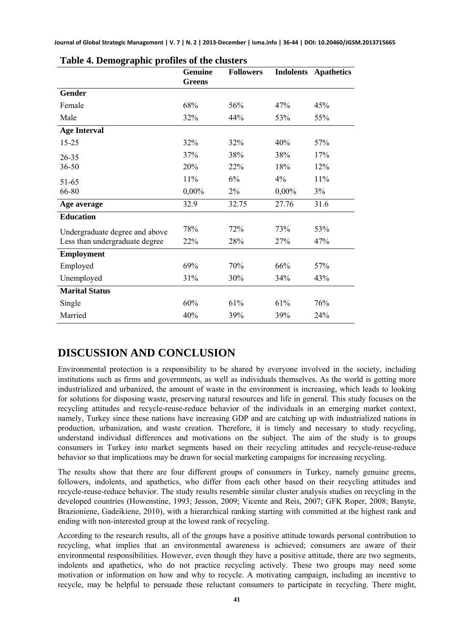| o                              | <b>Genuine</b> | <b>Followers</b> | <b>Indolents</b> | <b>Apathetics</b> |
|--------------------------------|----------------|------------------|------------------|-------------------|
|                                | <b>Greens</b>  |                  |                  |                   |
| Gender                         |                |                  |                  |                   |
| Female                         | 68%            | 56%              | 47%              | 45%               |
| Male                           | 32%            | 44%              | 53%              | 55%               |
| <b>Age Interval</b>            |                |                  |                  |                   |
| $15 - 25$                      | 32%            | 32%              | 40%              | 57%               |
| $26 - 35$                      | 37%            | 38%              | 38%              | 17%               |
| 36.50                          | 20%            | 22%              | 18%              | 12%               |
| 51-65                          | 11%            | 6%               | 4%               | 11%               |
| 66-80                          | 0,00%          | 2%               | 0,00%            | 3%                |
| Age average                    | 32.9           | 32.75            | 27.76            | 31.6              |
| <b>Education</b>               |                |                  |                  |                   |
| Undergraduate degree and above | 78%            | 72%              | 73%              | 53%               |
| Less than undergraduate degree | 22%            | 28%              | 27%              | 47%               |
| <b>Employment</b>              |                |                  |                  |                   |
| Employed                       | 69%            | 70%              | 66%              | 57%               |
| Unemployed                     | 31%            | 30%              | 34%              | 43%               |
| <b>Marital Status</b>          |                |                  |                  |                   |
| Single                         | 60%            | 61%              | 61%              | 76%               |
| Married                        | 40%            | 39%              | 39%              | 24%               |

|  | Table 4. Demographic profiles of the clusters |  |  |  |
|--|-----------------------------------------------|--|--|--|
|--|-----------------------------------------------|--|--|--|

### **DISCUSSION AND CONCLUSION**

Environmental protection is a responsibility to be shared by everyone involved in the society, including institutions such as firms and governments, as well as individuals themselves. As the world is getting more industrialized and urbanized, the amount of waste in the environment is increasing, which leads to looking for solutions for disposing waste, preserving natural resources and life in general. This study focuses on the recycling attitudes and recycle-reuse-reduce behavior of the individuals in an emerging market context, namely, Turkey since these nations have increasing GDP and are catching up with industrialized nations in production, urbanization, and waste creation. Therefore, it is timely and necessary to study recycling, understand individual differences and motivations on the subject. The aim of the study is to groups consumers in Turkey into market segments based on their recycling attitudes and recycle-reuse-reduce behavior so that implications may be drawn for social marketing campaigns for increasing recycling.

The results show that there are four different groups of consumers in Turkey, namely genuine greens, followers, indolents, and apathetics, who differ from each other based on their recycling attitudes and recycle-reuse-reduce behavior. The study results resemble similar cluster analysis studies on recycling in the developed countries (Howenstine, 1993; Jesson, 2009; Vicente and Reis, 2007; GFK Roper, 2008; Banyte, Brazioniene, Gadeikiene, 2010), with a hierarchical ranking starting with committed at the highest rank and ending with non-interested group at the lowest rank of recycling.

According to the research results, all of the groups have a positive attitude towards personal contribution to recycling, what implies that an environmental awareness is achieved; consumers are aware of their environmental responsibilities. However, even though they have a positive attitude, there are two segments, indolents and apathetics, who do not practice recycling actively. These two groups may need some motivation or information on how and why to recycle. A motivating campaign, including an incentive to recycle, may be helpful to persuade these reluctant consumers to participate in recycling. There might,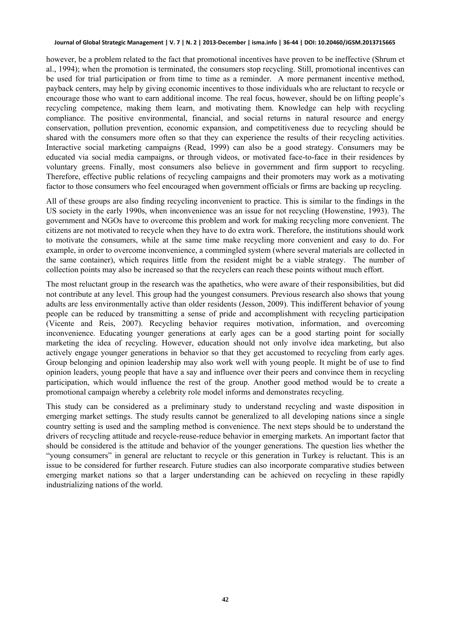however, be a problem related to the fact that promotional incentives have proven to be ineffective (Shrum et al., 1994); when the promotion is terminated, the consumers stop recycling. Still, promotional incentives can be used for trial participation or from time to time as a reminder. A more permanent incentive method, payback centers, may help by giving economic incentives to those individuals who are reluctant to recycle or encourage those who want to earn additional income. The real focus, however, should be on lifting people's recycling competence, making them learn, and motivating them. Knowledge can help with recycling compliance. The positive environmental, financial, and social returns in natural resource and energy conservation, pollution prevention, economic expansion, and competitiveness due to recycling should be shared with the consumers more often so that they can experience the results of their recycling activities. Interactive social marketing campaigns (Read, 1999) can also be a good strategy. Consumers may be educated via social media campaigns, or through videos, or motivated face-to-face in their residences by voluntary greens. Finally, most consumers also believe in government and firm support to recycling. Therefore, effective public relations of recycling campaigns and their promoters may work as a motivating factor to those consumers who feel encouraged when government officials or firms are backing up recycling.

All of these groups are also finding recycling inconvenient to practice. This is similar to the findings in the US society in the early 1990s, when inconvenience was an issue for not recycling (Howenstine, 1993). The government and NGOs have to overcome this problem and work for making recycling more convenient. The citizens are not motivated to recycle when they have to do extra work. Therefore, the institutions should work to motivate the consumers, while at the same time make recycling more convenient and easy to do. For example, in order to overcome inconvenience, a commingled system (where several materials are collected in the same container), which requires little from the resident might be a viable strategy. The number of collection points may also be increased so that the recyclers can reach these points without much effort.

The most reluctant group in the research was the apathetics, who were aware of their responsibilities, but did not contribute at any level. This group had the youngest consumers. Previous research also shows that young adults are less environmentally active than older residents (Jesson, 2009). This indifferent behavior of young people can be reduced by transmitting a sense of pride and accomplishment with recycling participation (Vicente and Reis, 2007). Recycling behavior requires motivation, information, and overcoming inconvenience. Educating younger generations at early ages can be a good starting point for socially marketing the idea of recycling. However, education should not only involve idea marketing, but also actively engage younger generations in behavior so that they get accustomed to recycling from early ages. Group belonging and opinion leadership may also work well with young people. It might be of use to find opinion leaders, young people that have a say and influence over their peers and convince them in recycling participation, which would influence the rest of the group. Another good method would be to create a promotional campaign whereby a celebrity role model informs and demonstrates recycling.

This study can be considered as a preliminary study to understand recycling and waste disposition in emerging market settings. The study results cannot be generalized to all developing nations since a single country setting is used and the sampling method is convenience. The next steps should be to understand the drivers of recycling attitude and recycle-reuse-reduce behavior in emerging markets. An important factor that should be considered is the attitude and behavior of the younger generations. The question lies whether the "young consumers" in general are reluctant to recycle or this generation in Turkey is reluctant. This is an issue to be considered for further research. Future studies can also incorporate comparative studies between emerging market nations so that a larger understanding can be achieved on recycling in these rapidly industrializing nations of the world.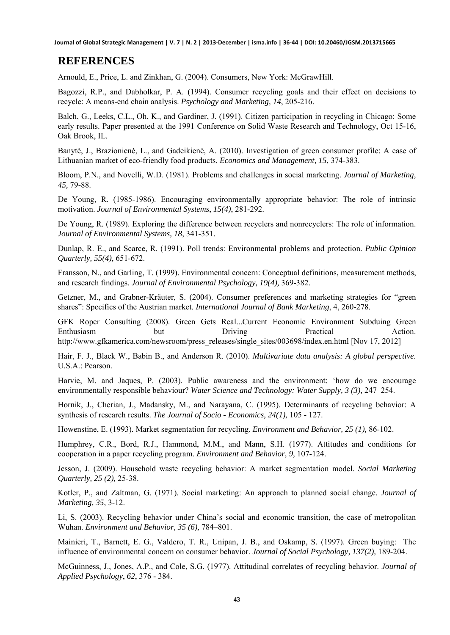#### **REFERENCES**

Arnould, E., Price, L. and Zinkhan, G. (2004). Consumers, New York: McGrawHill.

Bagozzi, R.P., and Dabholkar, P. A. (1994). Consumer recycling goals and their effect on decisions to recycle: A means-end chain analysis. *Psychology and Marketing, 14*, 205-216.

Balch, G., Leeks, C.L., Oh, K., and Gardiner, J. (1991). Citizen participation in recycling in Chicago: Some early results. Paper presented at the 1991 Conference on Solid Waste Research and Technology, Oct 15-16, Oak Brook, IL.

Banytė, J., Brazionienė, L., and Gadeikienė, A. (2010). Investigation of green consumer profile: A case of Lithuanian market of eco-friendly food products. *Economics and Management, 15*, 374-383.

Bloom, P.N., and Novelli, W.D. (1981). Problems and challenges in social marketing. *Journal of Marketing, 45,* 79-88.

De Young, R. (1985-1986). Encouraging environmentally appropriate behavior: The role of intrinsic motivation. *Journal of Environmental Systems*, *15(4)*, 281-292.

De Young, R. (1989). Exploring the difference between recyclers and nonrecyclers: The role of information. *Journal of Environmental Systems, 18*, 341-351.

Dunlap, R. E., and Scarce, R. (1991). Poll trends: Environmental problems and protection. *Public Opinion Quarterly, 55(4),* 651-672.

Fransson, N., and Garling, T. (1999). Environmental concern: Conceptual definitions, measurement methods, and research findings. *Journal of Environmental Psychology, 19(4),* 369-382.

Getzner, M., and Grabner-Kräuter, S. (2004). Consumer preferences and marketing strategies for "green shares": Specifics of the Austrian market. *International Journal of Bank Marketing*, 4, 260-278.

GFK Roper Consulting (2008). Green Gets Real...Current Economic Environment Subduing Green Enthusiasm but Driving Practical Action. http://www.gfkamerica.com/newsroom/press\_releases/single\_sites/003698/index.en.html [Nov 17, 2012]

Hair, F. J., Black W., Babin B., and Anderson R. (2010). *Multivariate data analysis: A global perspective.* U.S.A.: Pearson.

Harvie, M. and Jaques, P. (2003). Public awareness and the environment: 'how do we encourage environmentally responsible behaviour? *Water Science and Technology: Water Supply, 3 (3),* 247–254.

Hornik, J., Cherian, J., Madansky, M., and Narayana, C. (1995). Determinants of recycling behavior: A synthesis of research results. *The Journal of Socio - Economics, 24(1),* 105 - 127.

Howenstine, E. (1993). Market segmentation for recycling. *Environment and Behavior, 25 (1),* 86-102.

Humphrey, C.R., Bord, R.J., Hammond, M.M., and Mann, S.H. (1977). Attitudes and conditions for cooperation in a paper recycling program. *Environment and Behavior, 9,* 107-124.

Jesson, J. (2009). Household waste recycling behavior: A market segmentation model. *Social Marketing Quarterly, 25 (2),* 25-38.

Kotler, P., and Zaltman, G. (1971). Social marketing: An approach to planned social change. *Journal of Marketing, 35*, 3-12.

Li, S. (2003). Recycling behavior under China's social and economic transition, the case of metropolitan Wuhan. *Environment and Behavior, 35 (6),* 784–801.

Mainieri, T., Barnett, E. G., Valdero, T. R., Unipan, J. B., and Oskamp, S. (1997). Green buying: The influence of environmental concern on consumer behavior. *Journal of Social Psychology, 137(2),* 189-204.

McGuinness, J., Jones, A.P., and Cole, S.G. (1977). Attitudinal correlates of recycling behavior. *Journal of Applied Psychology*, *62*, 376 - 384.